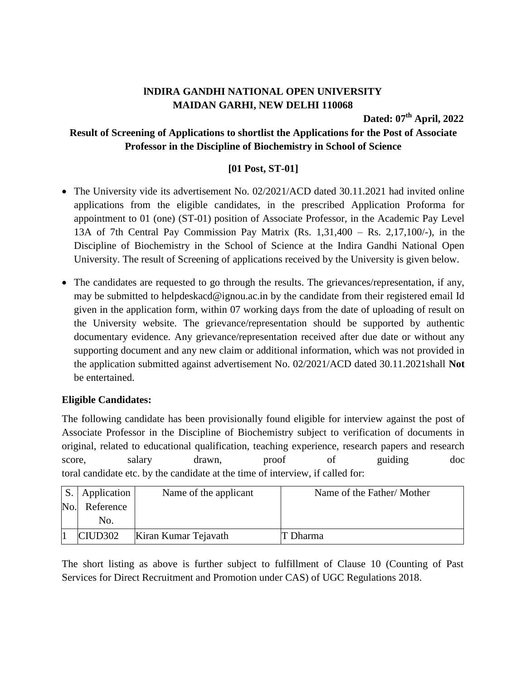## **lNDIRA GANDHI NATIONAL OPEN UNIVERSITY MAIDAN GARHI, NEW DELHI 110068**

**Dated: 07 th April, 2022**

## **Result of Screening of Applications to shortlist the Applications for the Post of Associate Professor in the Discipline of Biochemistry in School of Science**

## **[01 Post, ST-01]**

- The University vide its advertisement No. 02/2021/ACD dated 30.11.2021 had invited online applications from the eligible candidates, in the prescribed Application Proforma for appointment to 01 (one) (ST-01) position of Associate Professor, in the Academic Pay Level 13A of 7th Central Pay Commission Pay Matrix (Rs. 1,31,400 – Rs. 2,17,100/-), in the Discipline of Biochemistry in the School of Science at the Indira Gandhi National Open University. The result of Screening of applications received by the University is given below.
- The candidates are requested to go through the results. The grievances/representation, if any, may be submitted to helpdeskacd@ignou.ac.in by the candidate from their registered email Id given in the application form, within 07 working days from the date of uploading of result on the University website. The grievance/representation should be supported by authentic documentary evidence. Any grievance/representation received after due date or without any supporting document and any new claim or additional information, which was not provided in the application submitted against advertisement No. 02/2021/ACD dated 30.11.2021shall **Not** be entertained.

## **Eligible Candidates:**

The following candidate has been provisionally found eligible for interview against the post of Associate Professor in the Discipline of Biochemistry subject to verification of documents in original, related to educational qualification, teaching experience, research papers and research score, salary drawn, proof of guiding doc toral candidate etc. by the candidate at the time of interview, if called for:

|                | Application         | Name of the applicant | Name of the Father/Mother |
|----------------|---------------------|-----------------------|---------------------------|
| N <sub>o</sub> | Reference           |                       |                           |
|                | No.                 |                       |                           |
|                | CIUD <sub>302</sub> | Kiran Kumar Tejavath  | T Dharma                  |

The short listing as above is further subject to fulfillment of Clause 10 (Counting of Past Services for Direct Recruitment and Promotion under CAS) of UGC Regulations 2018.